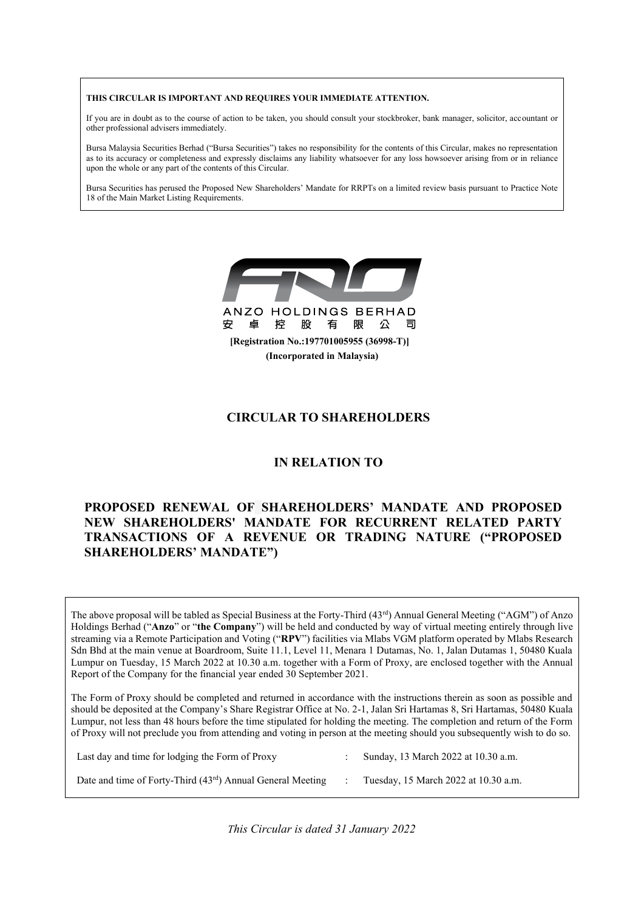#### THIS CIRCULAR IS IMPORTANT AND REQUIRES YOUR IMMEDIATE ATTENTION. **THIS CIRCULAR IS IMPORTANT AND REQUIRES YOUR IMMEDIATE ATTENTION.**

If you are in doubt as to the course of action to be taken, you should consult your stockbroker, bank manager, solicitor, accountant or other professional advisers immediately. other professional advisers immediately.

.<br>Bursa Malaysia Securities Berhad ("Bursa Securities") takes no responsibility for the contents of this Circular, makes no representation as to its accuracy or completeness and expressly disclaims any liability whatsoever for any loss howsoever arising from or in reliance upon the whole or any part of the contents of this Circular. upon the whole or any part of the contents of this Circular. bursa ividiaysia securities bernau ( bursa securities ) tak

.<br>Bursa Securities has perused the Proposed New Shareholders' Mandate for RRPTs on a limited review basis pursuant to Practice Note 18 of the Main Market Listing Requirements. Bursa Securities has perused the Proposed New Shareholders' Mandate for RRPTs on a limited review basis pursuant to Practice Note 18 of the Main Market Listing  $\mathcal{O}(\mathbb{R}^n)$ 



# **CIRCULAR TO SHAREHOLDERS CIRCULAR TO SHAREHOLDERS CIRCULAR TO SHAREHOLDERS**

# **IN RELATION TO IN RELATION TO**

## **PROPOSED RENEWAL OF SHAREHOLDERS' MANDATE AND PROPOSED** NEW SHAREHOLDERS' MANDATE FOR RECURRENT RELATED PARTY TRANSACTIONS OF A REVENUE OR TRADING NATURE ("PROPOSED **SHAREHOLDERS' MANDATE") TRANSACTIONS OF A REVENUE OR TRADING NATURE ("PROPOSED SHAREHOLDERS' MANDATE")**

The above proposal will be tabled as Special Business at the Forty-Third (43<sup>rd</sup>) Annual General Meeting ("AGM") of Anzo Holdings Berhad ("Anzo" or "the Company") will be held and conducted by way of virtual meeting entirely through live streaming via a Remote Participation and Voting ("RPV") facilities via Mlabs VGM platform operated by Mlabs Research Sdn Bhd at the main venue at Boardroom, Suite 11.1, Level 11, Menara 1 Dutamas, No. 1, Jalan Dutamas 1, 50480 Kuala Lumpur on Tuesday, 15 March 2022 at 10.30 a.m. together with a Form of Proxy, are enclosed together with the Annual Report of the Company for the financial year ended 30 September 2021. Final Securities la penseud the Proposition Shundarder's Markins for REPT, on a limited review has a guessin to Practice Note<br>
18.07 he has Markins Markins Length and the securities of the state of the state of the state Luppur on the company on the inflament year interested to Promote Clear  $T_{\rm F}$  showeld be completed and returned in accordance with the instructions the instructions the instructions the instructions the instructions the instructions the instructions the instructions of  $T_{\rm F}$ 

The above proposal will be tabled as Special Business at the Forty-Third (43rd) Annual General Meeting ( $\alpha$ 

The Form of Proxy should be completed and returned in accordance with the instructions therein as soon as possible and should be deposited at the Company's Share Registrar Office at No. 2-1, Jalan Sri Hartamas 8, Sri Hartamas, 50480 Kuala Lumpur, not less than 48 hours before the time stipulated for holding the meeting. The completion and return of the Form of Proxy will not preclude you from attending and voting in person at the meeting. The compression and covari or the Form Lumpur, not less than 48 hours before the time stipulated for holding the meeting the meeting of the completion  $\omega$ Lumpur, not less than  $\alpha$  hours before the time stipulated for holding the meeting. The completion and return of the Form at the meeting should you subsequently wish to do so of Proxy will not preclude you from attending and voting in person at the meeting should you subsequently wish to do so.

| Last day and time for lodging the Form of Proxy              | Sunday, 13 March 2022 at 10.30 a.m.  |
|--------------------------------------------------------------|--------------------------------------|
| Date and time of Forty-Third $(43rd)$ Annual General Meeting | Tuesday, 15 March 2022 at 10.30 a.m. |

Date and time of Forty-Third (43rd) Annual General Meeting : Tuesday, 15 March 2022 at 10.30 a.m.

*This Circular is dated 31 January 2022*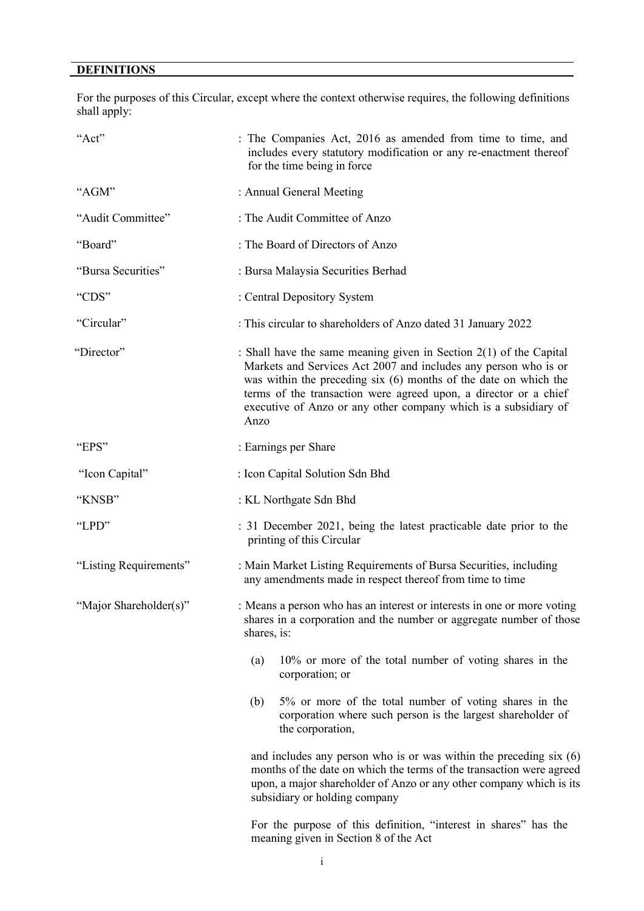## **DEFINITIONS**

For the purposes of this Circular, except where the context otherwise requires, the following definitions shall apply:

| "Act"                  | : The Companies Act, 2016 as amended from time to time, and<br>includes every statutory modification or any re-enactment thereof<br>for the time being in force                                                                                                                                                                                             |
|------------------------|-------------------------------------------------------------------------------------------------------------------------------------------------------------------------------------------------------------------------------------------------------------------------------------------------------------------------------------------------------------|
| "AGM"                  | : Annual General Meeting                                                                                                                                                                                                                                                                                                                                    |
| "Audit Committee"      | : The Audit Committee of Anzo                                                                                                                                                                                                                                                                                                                               |
| "Board"                | : The Board of Directors of Anzo                                                                                                                                                                                                                                                                                                                            |
| "Bursa Securities"     | : Bursa Malaysia Securities Berhad                                                                                                                                                                                                                                                                                                                          |
| "CDS"                  | : Central Depository System                                                                                                                                                                                                                                                                                                                                 |
| "Circular"             | : This circular to shareholders of Anzo dated 31 January 2022                                                                                                                                                                                                                                                                                               |
| "Director"             | : Shall have the same meaning given in Section $2(1)$ of the Capital<br>Markets and Services Act 2007 and includes any person who is or<br>was within the preceding $six(6)$ months of the date on which the<br>terms of the transaction were agreed upon, a director or a chief<br>executive of Anzo or any other company which is a subsidiary of<br>Anzo |
| "EPS"                  | : Earnings per Share                                                                                                                                                                                                                                                                                                                                        |
| "Icon Capital"         | : Icon Capital Solution Sdn Bhd                                                                                                                                                                                                                                                                                                                             |
| "KNSB"                 | : KL Northgate Sdn Bhd                                                                                                                                                                                                                                                                                                                                      |
| "LPD"                  | : 31 December 2021, being the latest practicable date prior to the<br>printing of this Circular                                                                                                                                                                                                                                                             |
| "Listing Requirements" | : Main Market Listing Requirements of Bursa Securities, including<br>any amendments made in respect thereof from time to time                                                                                                                                                                                                                               |
| "Major Shareholder(s)" | : Means a person who has an interest or interests in one or more voting<br>shares in a corporation and the number or aggregate number of those<br>shares, is:                                                                                                                                                                                               |
|                        | 10% or more of the total number of voting shares in the<br>(a)<br>corporation; or                                                                                                                                                                                                                                                                           |
|                        | 5% or more of the total number of voting shares in the<br>(b)<br>corporation where such person is the largest shareholder of<br>the corporation,                                                                                                                                                                                                            |
|                        | and includes any person who is or was within the preceding $six(6)$<br>months of the date on which the terms of the transaction were agreed<br>upon, a major shareholder of Anzo or any other company which is its<br>subsidiary or holding company                                                                                                         |

For the purpose of this definition, "interest in shares" has the meaning given in Section 8 of the Act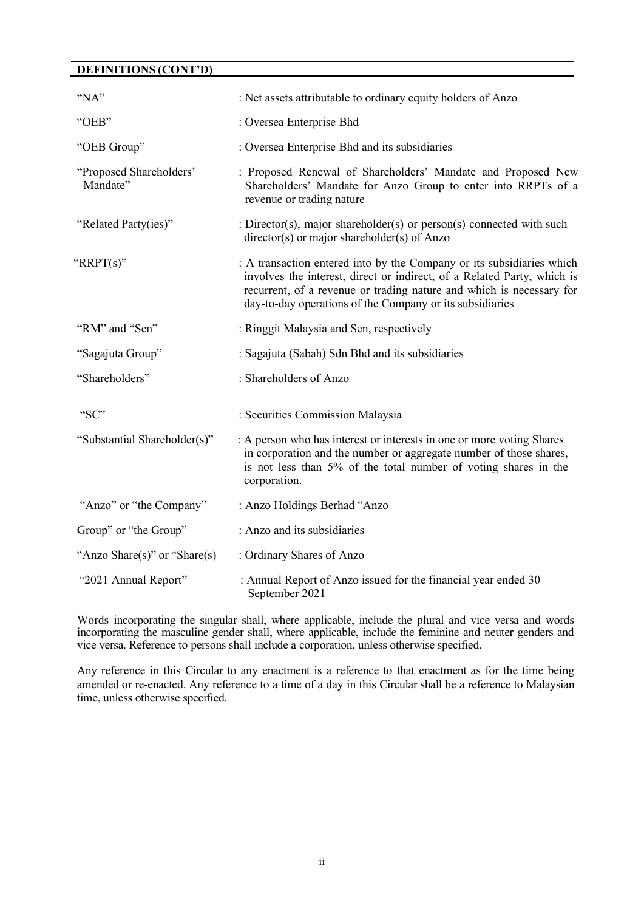### **DEFINITIONS (CONT'D)**

| "NA"                                | : Net assets attributable to ordinary equity holders of Anzo                                                                                                                                                                                                                         |
|-------------------------------------|--------------------------------------------------------------------------------------------------------------------------------------------------------------------------------------------------------------------------------------------------------------------------------------|
| "OEB"                               | : Oversea Enterprise Bhd                                                                                                                                                                                                                                                             |
| "OEB Group"                         | : Oversea Enterprise Bhd and its subsidiaries                                                                                                                                                                                                                                        |
| "Proposed Shareholders"<br>Mandate" | : Proposed Renewal of Shareholders' Mandate and Proposed New<br>Shareholders' Mandate for Anzo Group to enter into RRPTs of a<br>revenue or trading nature                                                                                                                           |
| "Related Party(ies)"                | : Director(s), major shareholder(s) or person(s) connected with such<br>$directory(s)$ or major shareholder(s) of Anzo                                                                                                                                                               |
| "RRPT $(s)$ "                       | : A transaction entered into by the Company or its subsidiaries which<br>involves the interest, direct or indirect, of a Related Party, which is<br>recurrent, of a revenue or trading nature and which is necessary for<br>day-to-day operations of the Company or its subsidiaries |
| "RM" and "Sen"                      | : Ringgit Malaysia and Sen, respectively                                                                                                                                                                                                                                             |
| "Sagajuta Group"                    | : Sagajuta (Sabah) Sdn Bhd and its subsidiaries                                                                                                                                                                                                                                      |
| "Shareholders"                      | : Shareholders of Anzo                                                                                                                                                                                                                                                               |
| "SC"                                | : Securities Commission Malaysia                                                                                                                                                                                                                                                     |
| "Substantial Shareholder(s)"        | : A person who has interest or interests in one or more voting Shares<br>in corporation and the number or aggregate number of those shares,<br>is not less than 5% of the total number of voting shares in the<br>corporation.                                                       |
| "Anzo" or "the Company"             | : Anzo Holdings Berhad "Anzo                                                                                                                                                                                                                                                         |
| Group" or "the Group"               | : Anzo and its subsidiaries                                                                                                                                                                                                                                                          |
| "Anzo Share(s)" or "Share(s)        | : Ordinary Shares of Anzo                                                                                                                                                                                                                                                            |
| "2021 Annual Report"                | : Annual Report of Anzo issued for the financial year ended 30<br>September 2021                                                                                                                                                                                                     |

Words incorporating the singular shall, where applicable, include the plural and vice versa and words incorporating the masculine gender shall, where applicable, include the feminine and neuter genders and vice versa. Reference to persons shall include a corporation, unless otherwise specified.

Any reference in this Circular to any enactment is a reference to that enactment as for the time being amended or re-enacted. Any reference to a time of a day in this Circular shall be a reference to Malaysian time, unless otherwise specified.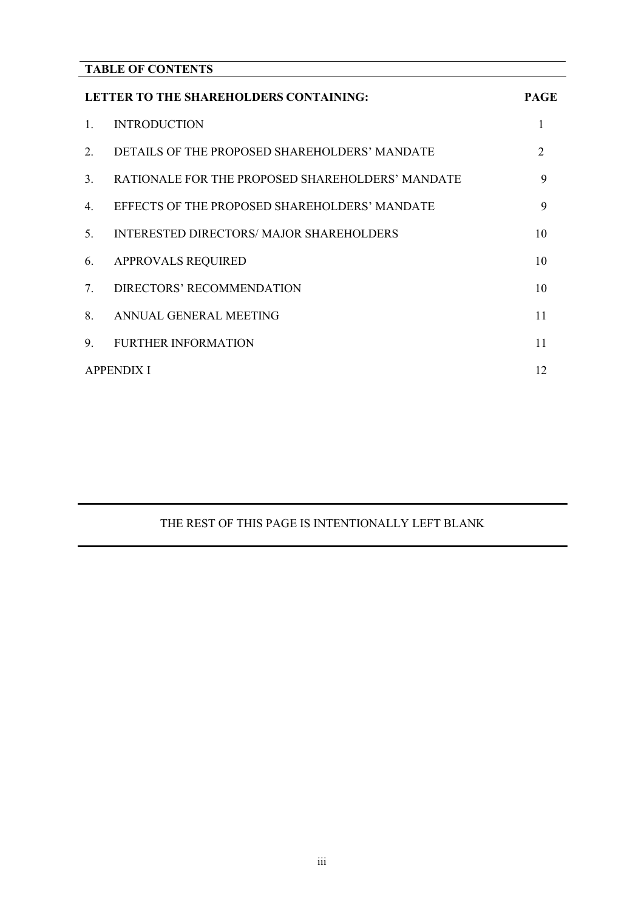## **TABLE OF CONTENTS**

|                                  | LETTER TO THE SHAREHOLDERS CONTAINING:           | <b>PAGE</b>                 |
|----------------------------------|--------------------------------------------------|-----------------------------|
| $\mathbf{1}$                     | <b>INTRODUCTION</b>                              | 1                           |
| 2.                               | DETAILS OF THE PROPOSED SHAREHOLDERS' MANDATE    | $\mathcal{D}_{\mathcal{L}}$ |
| 3 <sub>1</sub>                   | RATIONALE FOR THE PROPOSED SHAREHOLDERS' MANDATE | 9                           |
| $4_{\cdot}$                      | EFFECTS OF THE PROPOSED SHAREHOLDERS' MANDATE    | 9                           |
| 5 <sub>1</sub>                   | INTERESTED DIRECTORS/ MAJOR SHAREHOLDERS         | 10                          |
| 6.                               | <b>APPROVALS REQUIRED</b>                        | 10                          |
| $7_{\scriptscriptstyle{\ddots}}$ | DIRECTORS' RECOMMENDATION                        | 10                          |
| 8                                | ANNUAL GENERAL MEETING                           | 11                          |
| 9.                               | <b>FURTHER INFORMATION</b>                       | 11                          |
|                                  | <b>APPENDIX I</b>                                | 12                          |

## THE REST OF THIS PAGE IS INTENTIONALLY LEFT BLANK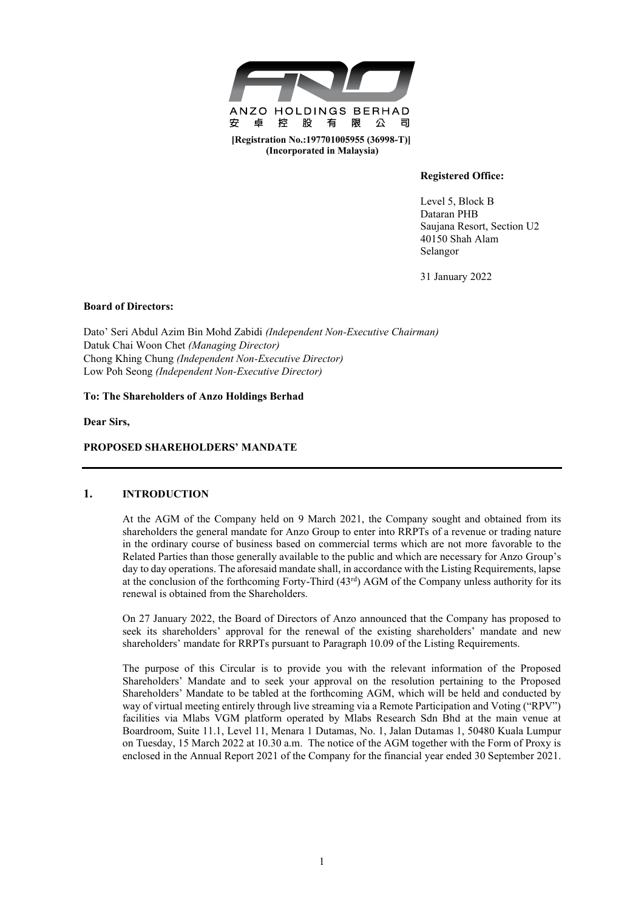

**(Incorporated in Malaysia)**

### **Registered Office:**

Level 5, Block B Dataran PHB Saujana Resort, Section U2 40150 Shah Alam Selangor

31 January 2022

### **Board of Directors:**

Dato' Seri Abdul Azim Bin Mohd Zabidi *(Independent Non-Executive Chairman)* Datuk Chai Woon Chet *(Managing Director)* Chong Khing Chung *(Independent Non-Executive Director)* Low Poh Seong *(Independent Non-Executive Director)* 

### **To: The Shareholders of Anzo Holdings Berhad**

**Dear Sirs,**

### **PROPOSED SHAREHOLDERS' MANDATE**

### **1. INTRODUCTION**

At the AGM of the Company held on 9 March 2021, the Company sought and obtained from its shareholders the general mandate for Anzo Group to enter into RRPTs of a revenue or trading nature in the ordinary course of business based on commercial terms which are not more favorable to the Related Parties than those generally available to the public and which are necessary for Anzo Group's day to day operations. The aforesaid mandate shall, in accordance with the Listing Requirements, lapse at the conclusion of the forthcoming Forty-Third (43<sup>rd</sup>) AGM of the Company unless authority for its renewal is obtained from the Shareholders.

On 27 January 2022, the Board of Directors of Anzo announced that the Company has proposed to seek its shareholders' approval for the renewal of the existing shareholders' mandate and new shareholders' mandate for RRPTs pursuant to Paragraph 10.09 of the Listing Requirements.

The purpose of this Circular is to provide you with the relevant information of the Proposed Shareholders' Mandate and to seek your approval on the resolution pertaining to the Proposed Shareholders' Mandate to be tabled at the forthcoming AGM, which will be held and conducted by way of virtual meeting entirely through live streaming via a Remote Participation and Voting ("RPV") facilities via Mlabs VGM platform operated by Mlabs Research Sdn Bhd at the main venue at Boardroom, Suite 11.1, Level 11, Menara 1 Dutamas, No. 1, Jalan Dutamas 1, 50480 Kuala Lumpur on Tuesday, 15 March 2022 at 10.30 a.m. The notice of the AGM together with the Form of Proxy is enclosed in the Annual Report 2021 of the Company for the financial year ended 30 September 2021.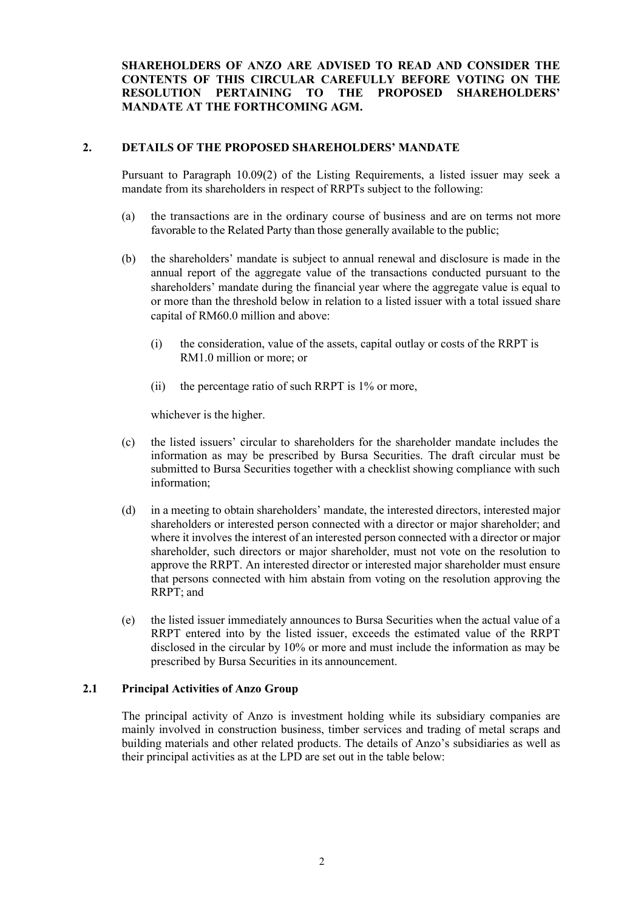**SHAREHOLDERS OF ANZO ARE ADVISED TO READ AND CONSIDER THE CONTENTS OF THIS CIRCULAR CAREFULLY BEFORE VOTING ON THE RESOLUTION PERTAINING TO THE PROPOSED SHAREHOLDERS' MANDATE AT THE FORTHCOMING AGM.**

### **2. DETAILS OF THE PROPOSED SHAREHOLDERS' MANDATE**

Pursuant to Paragraph 10.09(2) of the Listing Requirements, a listed issuer may seek a mandate from its shareholders in respect of RRPTs subject to the following:

- (a) the transactions are in the ordinary course of business and are on terms not more favorable to the Related Party than those generally available to the public;
- (b) the shareholders' mandate is subject to annual renewal and disclosure is made in the annual report of the aggregate value of the transactions conducted pursuant to the shareholders' mandate during the financial year where the aggregate value is equal to or more than the threshold below in relation to a listed issuer with a total issued share capital of RM60.0 million and above:
	- (i) the consideration, value of the assets, capital outlay or costs of the RRPT is RM1.0 million or more; or
	- (ii) the percentage ratio of such RRPT is 1% or more,

whichever is the higher.

- (c) the listed issuers' circular to shareholders for the shareholder mandate includes the information as may be prescribed by Bursa Securities. The draft circular must be submitted to Bursa Securities together with a checklist showing compliance with such information;
- (d) in a meeting to obtain shareholders' mandate, the interested directors, interested major shareholders or interested person connected with a director or major shareholder; and where it involves the interest of an interested person connected with a director or major shareholder, such directors or major shareholder, must not vote on the resolution to approve the RRPT. An interested director or interested major shareholder must ensure that persons connected with him abstain from voting on the resolution approving the RRPT; and
- (e) the listed issuer immediately announces to Bursa Securities when the actual value of a RRPT entered into by the listed issuer, exceeds the estimated value of the RRPT disclosed in the circular by 10% or more and must include the information as may be prescribed by Bursa Securities in its announcement.

### **2.1 Principal Activities of Anzo Group**

The principal activity of Anzo is investment holding while its subsidiary companies are mainly involved in construction business, timber services and trading of metal scraps and building materials and other related products. The details of Anzo's subsidiaries as well as their principal activities as at the LPD are set out in the table below: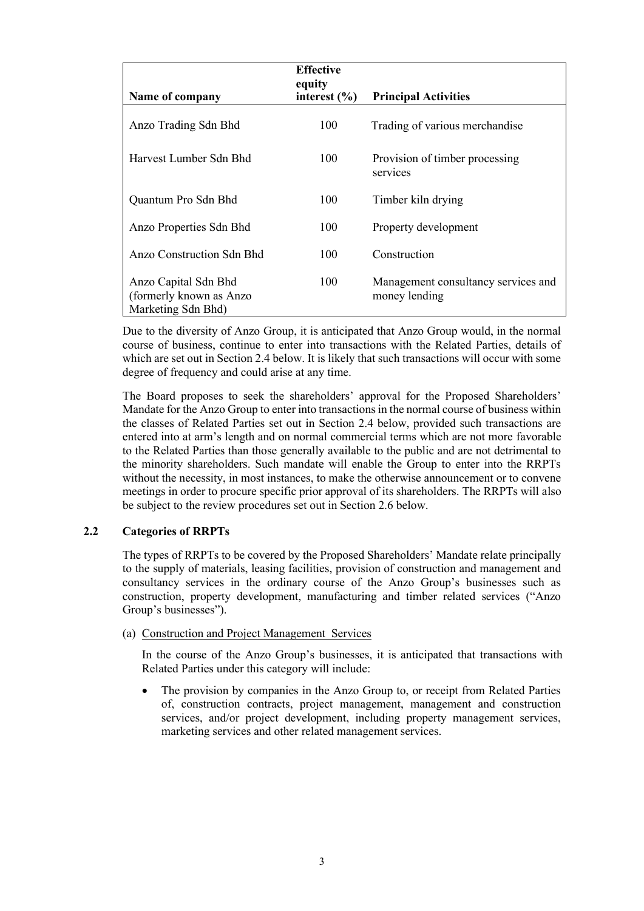| Name of company                                                        | <b>Effective</b><br>equity<br>interest $(\% )$ | <b>Principal Activities</b>                          |
|------------------------------------------------------------------------|------------------------------------------------|------------------------------------------------------|
| Anzo Trading Sdn Bhd                                                   | 100                                            | Trading of various merchandise                       |
| Harvest Lumber Sdn Bhd                                                 | 100                                            | Provision of timber processing<br>services           |
| Quantum Pro Sdn Bhd                                                    | 100                                            | Timber kiln drying                                   |
| Anzo Properties Sdn Bhd                                                | 100                                            | Property development                                 |
| <b>Anzo Construction Sdn Bhd</b>                                       | 100                                            | Construction                                         |
| Anzo Capital Sdn Bhd<br>(formerly known as Anzo)<br>Marketing Sdn Bhd) | 100                                            | Management consultancy services and<br>money lending |

Due to the diversity of Anzo Group, it is anticipated that Anzo Group would, in the normal course of business, continue to enter into transactions with the Related Parties, details of which are set out in Section 2.4 below. It is likely that such transactions will occur with some degree of frequency and could arise at any time.

The Board proposes to seek the shareholders' approval for the Proposed Shareholders' Mandate for the Anzo Group to enter into transactions in the normal course of business within the classes of Related Parties set out in Section 2.4 below, provided such transactions are entered into at arm's length and on normal commercial terms which are not more favorable to the Related Parties than those generally available to the public and are not detrimental to the minority shareholders. Such mandate will enable the Group to enter into the RRPTs without the necessity, in most instances, to make the otherwise announcement or to convene meetings in order to procure specific prior approval of its shareholders. The RRPTs will also be subject to the review procedures set out in Section 2.6 below.

### **2.2 Categories of RRPTs**

The types of RRPTs to be covered by the Proposed Shareholders' Mandate relate principally to the supply of materials, leasing facilities, provision of construction and management and consultancy services in the ordinary course of the Anzo Group's businesses such as construction, property development, manufacturing and timber related services ("Anzo Group's businesses").

### (a) Construction and Project Management Services

In the course of the Anzo Group's businesses, it is anticipated that transactions with Related Parties under this category will include:

The provision by companies in the Anzo Group to, or receipt from Related Parties of, construction contracts, project management, management and construction services, and/or project development, including property management services, marketing services and other related management services.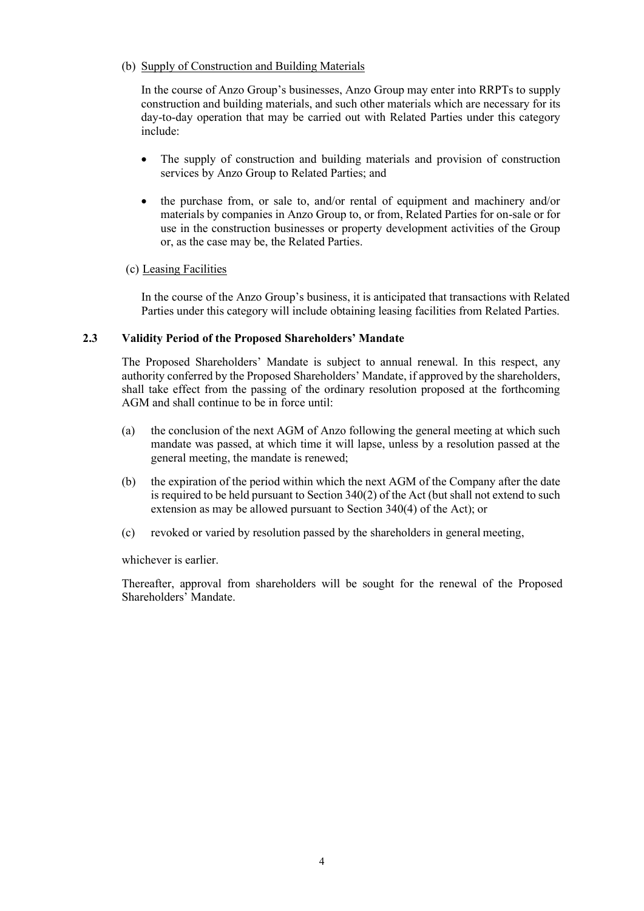(b) Supply of Construction and Building Materials

In the course of Anzo Group's businesses, Anzo Group may enter into RRPTs to supply construction and building materials, and such other materials which are necessary for its day-to-day operation that may be carried out with Related Parties under this category include:

- The supply of construction and building materials and provision of construction services by Anzo Group to Related Parties; and
- the purchase from, or sale to, and/or rental of equipment and machinery and/or materials by companies in Anzo Group to, or from, Related Parties for on-sale or for use in the construction businesses or property development activities of the Group or, as the case may be, the Related Parties.

### (c) Leasing Facilities

In the course of the Anzo Group's business, it is anticipated that transactions with Related Parties under this category will include obtaining leasing facilities from Related Parties.

### **2.3 Validity Period of the Proposed Shareholders' Mandate**

The Proposed Shareholders' Mandate is subject to annual renewal. In this respect, any authority conferred by the Proposed Shareholders' Mandate, if approved by the shareholders, shall take effect from the passing of the ordinary resolution proposed at the forthcoming AGM and shall continue to be in force until:

- (a) the conclusion of the next AGM of Anzo following the general meeting at which such mandate was passed, at which time it will lapse, unless by a resolution passed at the general meeting, the mandate is renewed;
- (b) the expiration of the period within which the next AGM of the Company after the date is required to be held pursuant to Section 340(2) of the Act (but shall not extend to such extension as may be allowed pursuant to Section 340(4) of the Act); or
- (c) revoked or varied by resolution passed by the shareholders in general meeting,

whichever is earlier.

Thereafter, approval from shareholders will be sought for the renewal of the Proposed Shareholders' Mandate.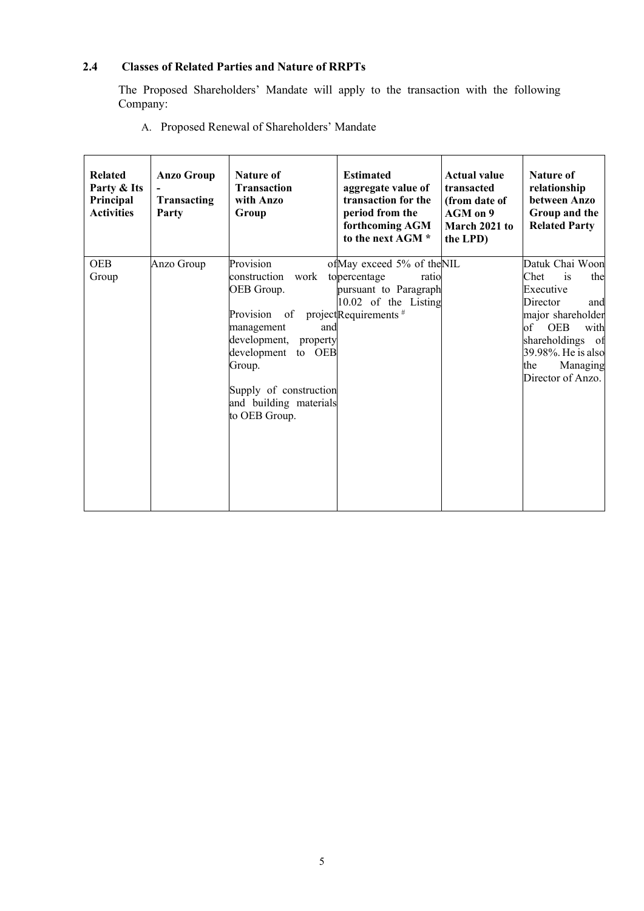### **2.4 Classes of Related Parties and Nature of RRPTs 2.4 Classes of Related Parties and Nature of RRPTs**

The Proposed Shareholders' Mandate will apply to the transaction with the following The Proposed Shareholders' Mandate will apply to the transaction with the following Company: Company:

A. Proposed Renewal of Shareholders' Mandate A. Proposed Renewal of Shareholders' Mandate

| <b>Related</b><br>Party & Its<br>Principal<br><b>Activities</b> | <b>Anzo Group</b><br>Transacting<br>Party | <b>Nature of</b><br><b>Transaction</b><br>with Anzo<br>Group                                                                                                                                                             | <b>Estimated</b><br>aggregate value of<br>transaction for the<br>period from the<br>forthcoming AGM<br>to the next AGM *          | <b>Actual value</b><br>transacted<br>(from date of<br>AGM on 9<br>March 2021 to<br>the LPD) | <b>Nature of</b><br>relationship<br>between Anzo<br>Group and the<br><b>Related Party</b>                                                                                                                    |
|-----------------------------------------------------------------|-------------------------------------------|--------------------------------------------------------------------------------------------------------------------------------------------------------------------------------------------------------------------------|-----------------------------------------------------------------------------------------------------------------------------------|---------------------------------------------------------------------------------------------|--------------------------------------------------------------------------------------------------------------------------------------------------------------------------------------------------------------|
| <b>OEB</b><br>Group                                             | Anzo Group                                | Provision<br>construction<br>work<br>OEB Group.<br>Provision<br>of<br>management<br>and<br>development,<br>property<br>development to OEB<br>Group.<br>Supply of construction<br>and building materials<br>to OEB Group. | of May exceed 5% of the NIL<br>topercentage<br>ratio<br>pursuant to Paragraph<br>10.02 of the Listing<br>project Requirements $#$ |                                                                                             | Datuk Chai Woon<br>is<br>Chet<br>the<br>Executive<br>Director<br>and<br>major shareholder<br>of<br><b>OEB</b><br>with<br>shareholdings<br>- of<br>39.98%. He is also<br>Managing<br>the<br>Director of Anzo. |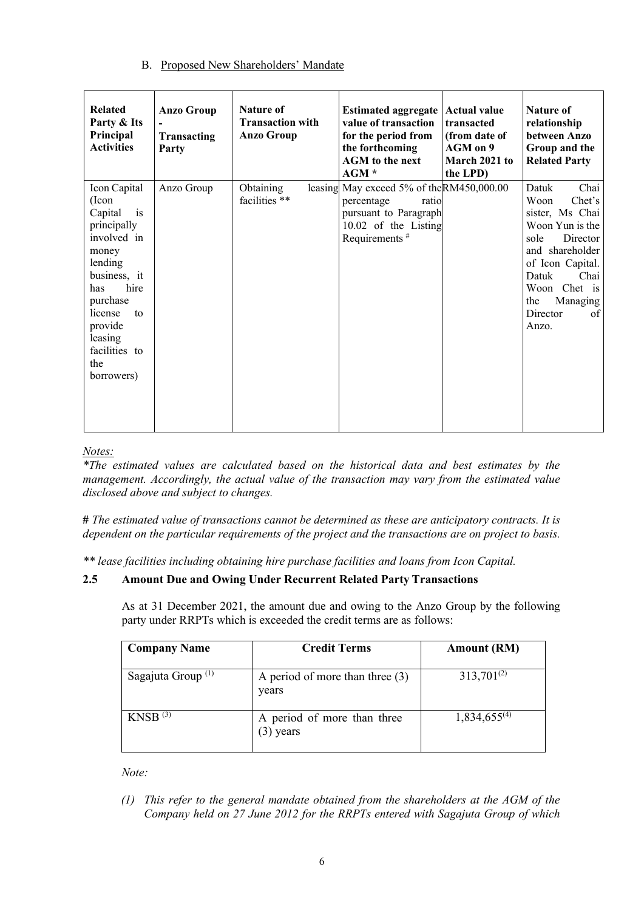# B. Proposed New Shareholders' Mandate B. Proposed New Shareholders' Mandate B. Proposed New Shareholders' Mandate

| <b>Related</b><br>Party & Its<br>Principal<br><b>Activities</b>                                                                                                                                                             | <b>Anzo Group</b><br>Transacting<br>Party | <b>Nature of</b><br><b>Transaction with</b><br><b>Anzo Group</b> | Estimated aggregate   Actual value<br>value of transaction<br>for the period from<br>the forthcoming<br><b>AGM</b> to the next<br>AGM * | transacted<br>(from date of<br>AGM on 9<br>March 2021 to<br>the LPD) | <b>Nature of</b><br>relationship<br>between Anzo<br>Group and the<br><b>Related Party</b>                                                                                                                       |
|-----------------------------------------------------------------------------------------------------------------------------------------------------------------------------------------------------------------------------|-------------------------------------------|------------------------------------------------------------------|-----------------------------------------------------------------------------------------------------------------------------------------|----------------------------------------------------------------------|-----------------------------------------------------------------------------------------------------------------------------------------------------------------------------------------------------------------|
| Icon Capital<br>(Icon<br>is<br>Capital<br>principally<br>involved in<br>money<br>lending<br>business, it<br>hire<br>has<br>purchase<br>license<br>$\mathsf{to}$<br>provide<br>leasing<br>facilities to<br>the<br>borrowers) | Anzo Group                                | Obtaining<br>facilities **                                       | leasing May exceed 5% of the RM450,000.00<br>percentage<br>ratio<br>pursuant to Paragraph<br>10.02 of the Listing<br>Requirements $#$   |                                                                      | Datuk<br>Chai<br>Woon<br>Chet's<br>sister, Ms Chai<br>Woon Yun is the<br>Director<br>sole<br>and shareholder<br>of Icon Capital.<br>Datuk<br>Chai<br>Woon Chet is<br>Managing<br>the<br>Director<br>of<br>Anzo. |

# *Notes: Notes:*

*Notes: \*The estimated values are calculated based on the historical data and best estimates by the The estimated values are calculated based on the historical data and best estimates by the management. Accordingly, the actual value of the transaction may vary from the estimated value disclosed above and subject to changes. disclosed above and subject to changes. management. Accordingly, the actual value of the transaction may vary from the estimated value \*The estimated values are calculated based on the historical data and best estimates by the*  management. Accordingly, the actual value of the transaction may vary from the estimated value **by** 

**#** *The estimated value of transactions cannot be determined as these are anticipatory contracts. It is dependent on the particular requirements of the project and the transactions are on project to basis. dependent on the particular requirements of the project and the transactions are on project to basis.* **#** *The estimated value of transactions cannot be determined as these are anticipatory contracts. It is*  # The estimated value of transactions cannot be determined as these are anticipatory contracts. It is

\*\* lease facilities including obtaining hire purchase facilities and loans from Icon Capital.

# **2.5 Amount Due and Owing Under Recurrent Related Party Transactions 2.5 Amount Due and Owing Under Recurrent Related Party Transactions**

As at 31 December 2021, the amount due and owing to the Anzo Group by the following party under RRPTs which is exceeded the credit terms are as follows: party under RRPTs which is exceeded the credit terms are as follows: As at 31 December 2021, the amount due and owing to the Anzo Group by the following

| <b>Company Name</b>           | <b>Credit Terms</b>                        | <b>Amount (RM)</b> |
|-------------------------------|--------------------------------------------|--------------------|
| Sagajuta Group <sup>(1)</sup> | A period of more than three $(3)$<br>years | $313,701^{(2)}$    |
| $KNSB$ <sup>(3)</sup>         | A period of more than three<br>$(3)$ years | $1,834,655^{(4)}$  |

*Note: Note: f This reference from the general mandate obtained from the shareholders at the shareholders at the AGM of the AGM of the Shareholders* at the  $\frac{1}{2}$ 

*(1) This refer to the general mandate obtained from the shareholders at the AGM of the*  Company held on 27 June 2012 for the RRPTs entered with Sagajuta Group of which *(1)* This refer to the general mandate obtained from the shareholders at the AGM of the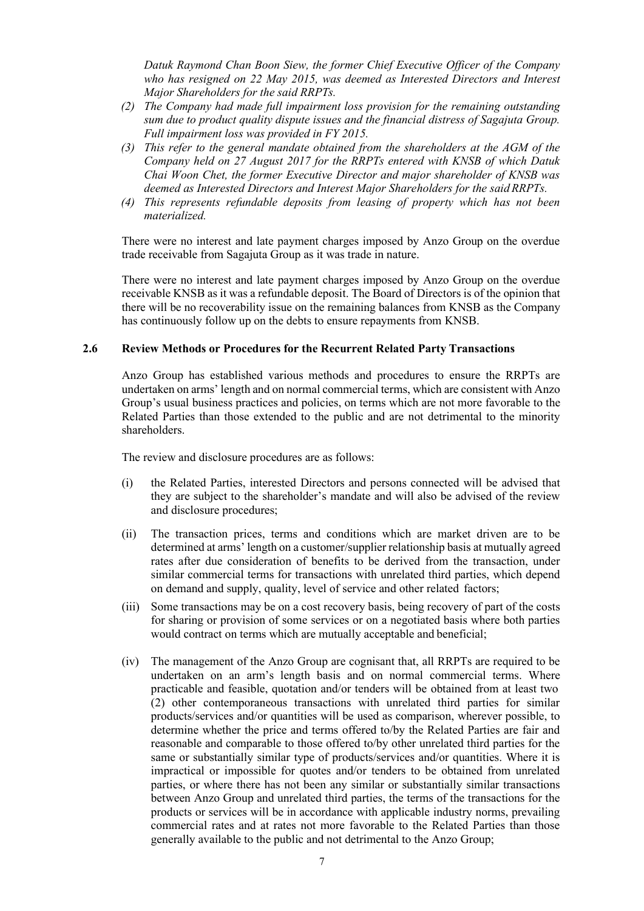Datuk Raymond Chan Boon Siew, the former Chief Executive Officer of the Company Datak Raymond Chan Boon Stew, the former Chief Executive Officer of the Company<br>who has resigned on 22 May 2015, was deemed as Interested Directors and Interest *Major Shareholders for the said RRPTs. Major Shareholders for the said RRPTs. Major Shareholders for the said RRPTs. Major Shareholders for the said RRPTs.*

- (2) The Company had made full impairment loss provision for the remaining outstanding The Company had made full impulsment toss provision for the remaining outstanding<br>sum due to product quality dispute issues and the financial distress of Sagajuta Group. sum and to product quality aspite issues and the Full impairment loss was provided in FY 2015.
- (3) This refer to the general mandate obtained from the shareholders at the AGM of the Company held on 27 August 2017 for the RRPTs entered with KNSB of which Datuk Chai Woon Chet, the former Executive Director and major shareholder of KNSB was deemed as Interested Directors and Interest Major Shareholders for the said RRPTs.
- (4) This represents refundable deposits from leasing of property which has not been *materialized. materialized. materialized. materialized.*

There were no interest and late payment charges imposed by Anzo Group on the overdue trade receivable from Sagajuta Group as it was trade in nature.

There were no interest and late payment charges imposed by Anzo Group on the overdue receivable KNSB as it was a refundable deposit. The Board of Directors is of the opinion that there will be no recoverability issue on the remaining balances from KNSB as the Company has continuously follow up on the debts to ensure repayments from KNSB.

## 2.6 Review Methods or Procedures for the Recurrent Related Party Transactions

Anzo Group has established various methods and procedures to ensure the RRPTs are undertaken on arms' length and on normal commercial terms, which are consistent with Anzo Group's usual business practices and policies, on terms which are not more favorable to the Related Parties than those extended to the public and are not detrimental to the minority shareholders. shareholders. shareholders. shareholders.

The review and disclosure procedures are as follows: The review and disclosure procedures are as follows: The review and disclosure procedures are as follows: The review and disclosure procedures are as follows:

- ( $i$ ) the Related Parties, interested Directors and persons connected will be advised that  $i$ they are subject to the shareholder's mandate and will also be advised of the review<br>and disclosure precedures: and disclosure procedures; and disclosure procedures; and disclosure procedures; and disclosure procedures; (i) the Related Parties, interested Directors and persons connected will be advised that
- determined at arms' length on a customer/supplier relationship basis at mutually agreed rates after due consideration of benefits to be derived from the transaction, under similar commercial terms for transactions with unrelated third parties, which depend similar commercial terms for transactions with unrelated third parties, which depend on demand and supply, quality, level of service and other related factors; (ii) The transaction prices, terms and conditions which are market driven are to be
- for sharing or provision of some services or on a negotiated basis where both parties for sharing or provision of some services or on a negotiated basis where both parties would contract on terms which are mutually acceptable and beneficial; (iii) Some transactions may be on a cost recovery basis, being recovery of part of the costs
- undertaken on an arm's length basis and on normal commercial terms. Where practicable and feasible, quotation and/or tenders will be obtained from at least two (2) other contemporaneous transactions with unrelated third parties for similar products/services and/or quantities will be used as comparison, wherever possible, to determine whether the price and terms offered to/by the Related Parties are fair and reasonable and comparable to those offered to/by other unrelated third parties for the same or substantially similar type of products/services and/or quantities. Where it is impractical or impossible for quotes and/or tenders to be obtained from unrelated parties, or where there has not been any similar or substantially similar transactions between Anzo Group and unrelated third parties, the terms of the transactions for the products or services will be in accordance with applicable industry norms, prevailing commercial rates and at rates not more favorable to the Related Parties than those commercial rates and at rates not more rayorable to the Related Parties than those generally available to the public and not detrimental to the Anzo Group; (iv) The management of the Anzo Group are cognisant that, all RRPTs are required to be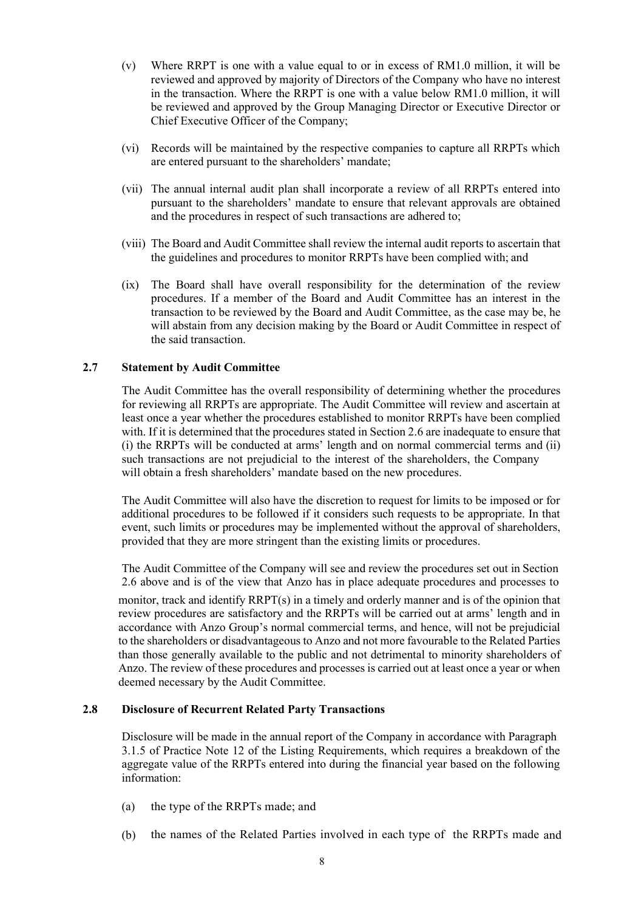- (v) Where RRPT is one with a value equal to or in excess of RM1.0 million, it will be reviewed and approved by majority of Directors of the Company who have no interest in the transaction. Where the RRPT is one with a value below RM1.0 million, it will be reviewed and approved by the Group Managing Director or Executive Director or Chief Executive Officer of the Company;
- (vi) Records will be maintained by the respective companies to capture all RRPTs which are entered pursuant to the shareholders' mandate;
- (vii) The annual internal audit plan shall incorporate a review of all RRPTs entered into pursuant to the shareholders' mandate to ensure that relevant approvals are obtained and the procedures in respect of such transactions are adhered to;
- (viii) The Board and Audit Committee shall review the internal audit reports to ascertain that the guidelines and procedures to monitor RRPTs have been complied with; and
- (ix) The Board shall have overall responsibility for the determination of the review procedures. If a member of the Board and Audit Committee has an interest in the transaction to be reviewed by the Board and Audit Committee, as the case may be, he will abstain from any decision making by the Board or Audit Committee in respect of the said transaction.

### **2.7 Statement by Audit Committee**

The Audit Committee has the overall responsibility of determining whether the procedures for reviewing all RRPTs are appropriate. The Audit Committee will review and ascertain at least once a year whether the procedures established to monitor RRPTs have been complied with. If it is determined that the procedures stated in Section 2.6 are inadequate to ensure that (i) the RRPTs will be conducted at arms' length and on normal commercial terms and (ii) such transactions are not prejudicial to the interest of the shareholders, the Company will obtain a fresh shareholders' mandate based on the new procedures.

The Audit Committee will also have the discretion to request for limits to be imposed or for additional procedures to be followed if it considers such requests to be appropriate. In that event, such limits or procedures may be implemented without the approval of shareholders, provided that they are more stringent than the existing limits or procedures.

The Audit Committee of the Company will see and review the procedures set out in Section 2.6 above and is of the view that Anzo has in place adequate procedures and processes to

monitor, track and identify RRPT(s) in a timely and orderly manner and is of the opinion that review procedures are satisfactory and the RRPTs will be carried out at arms' length and in accordance with Anzo Group's normal commercial terms, and hence, will not be prejudicial to the shareholders or disadvantageous to Anzo and not more favourable to the Related Parties than those generally available to the public and not detrimental to minority shareholders of Anzo. The review of these procedures and processes is carried out at least once a year or when deemed necessary by the Audit Committee.

### **2.8 Disclosure of Recurrent Related Party Transactions**

Disclosure will be made in the annual report of the Company in accordance with Paragraph 3.1.5 of Practice Note 12 of the Listing Requirements, which requires a breakdown of the aggregate value of the RRPTs entered into during the financial year based on the following information:

- (a) the type of the RRPTs made; and
- (b) the names of the Related Parties involved in each type of the RRPTs made and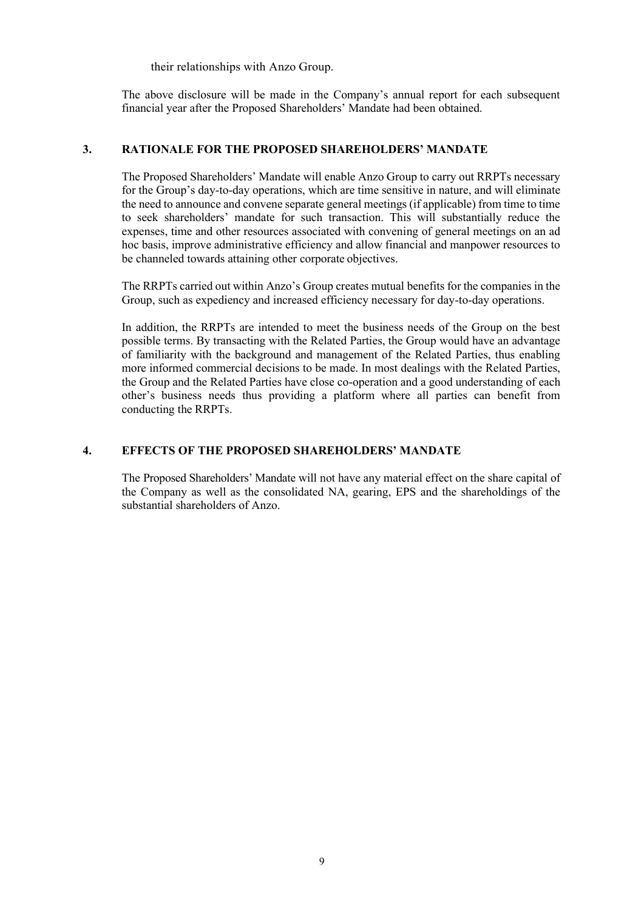their relationships with Anzo Group.

The above disclosure will be made in the Company's annual report for each subsequent financial year after the Proposed Shareholders' Mandate had been obtained.

### **3. RATIONALE FOR THE PROPOSED SHAREHOLDERS' MANDATE**

The Proposed Shareholders' Mandate will enable Anzo Group to carry out RRPTs necessary for the Group's day-to-day operations, which are time sensitive in nature, and will eliminate the need to announce and convene separate general meetings (if applicable) from time to time to seek shareholders' mandate for such transaction. This will substantially reduce the expenses, time and other resources associated with convening of general meetings on an ad hoc basis, improve administrative efficiency and allow financial and manpower resources to be channeled towards attaining other corporate objectives.

The RRPTs carried out within Anzo's Group creates mutual benefits for the companies in the Group, such as expediency and increased efficiency necessary for day-to-day operations.

In addition, the RRPTs are intended to meet the business needs of the Group on the best possible terms. By transacting with the Related Parties, the Group would have an advantage of familiarity with the background and management of the Related Parties, thus enabling more informed commercial decisions to be made. In most dealings with the Related Parties, the Group and the Related Parties have close co-operation and a good understanding of each other's business needs thus providing a platform where all parties can benefit from conducting the RRPTs.

### **4. EFFECTS OF THE PROPOSED SHAREHOLDERS' MANDATE**

The Proposed Shareholders' Mandate will not have any material effect on the share capital of the Company as well as the consolidated NA, gearing, EPS and the shareholdings of the substantial shareholders of Anzo.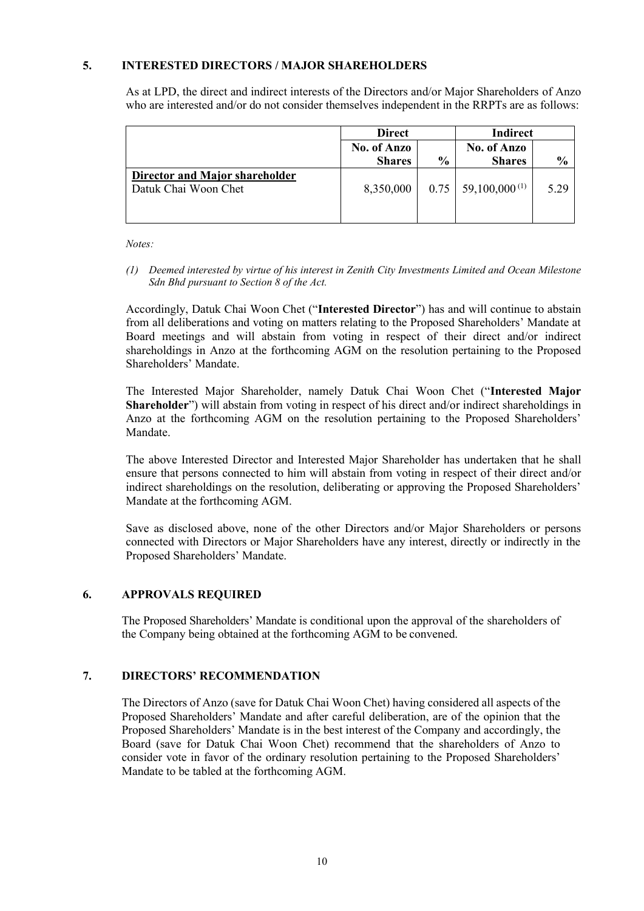### **5. INTERESTED DIRECTORS / MAJOR SHAREHOLDERS**

As at LPD, the direct and indirect interests of the Directors and/or Major Shareholders of Anzo who are interested and/or do not consider themselves independent in the RRPTs are as follows:

|                                                        | <b>Direct</b>                |               | Indirect                          |               |  |
|--------------------------------------------------------|------------------------------|---------------|-----------------------------------|---------------|--|
|                                                        | No. of Anzo<br><b>Shares</b> | $\frac{0}{0}$ | No. of Anzo<br><b>Shares</b>      | $\frac{6}{9}$ |  |
| Director and Major shareholder<br>Datuk Chai Woon Chet | 8,350,000                    |               | $0.75 \mid 59,100,000^{(1)} \mid$ | 5.29          |  |

*Notes:*

*(1) Deemed interested by virtue of his interest in Zenith City Investments Limited and Ocean Milestone Sdn Bhd pursuant to Section 8 of the Act.*

Accordingly, Datuk Chai Woon Chet ("**Interested Director**") has and will continue to abstain from all deliberations and voting on matters relating to the Proposed Shareholders' Mandate at Board meetings and will abstain from voting in respect of their direct and/or indirect shareholdings in Anzo at the forthcoming AGM on the resolution pertaining to the Proposed Shareholders' Mandate.

The Interested Major Shareholder, namely Datuk Chai Woon Chet ("**Interested Major Shareholder**") will abstain from voting in respect of his direct and/or indirect shareholdings in Anzo at the forthcoming AGM on the resolution pertaining to the Proposed Shareholders' Mandate.

The above Interested Director and Interested Major Shareholder has undertaken that he shall ensure that persons connected to him will abstain from voting in respect of their direct and/or indirect shareholdings on the resolution, deliberating or approving the Proposed Shareholders' Mandate at the forthcoming AGM.

Save as disclosed above, none of the other Directors and/or Major Shareholders or persons connected with Directors or Major Shareholders have any interest, directly or indirectly in the Proposed Shareholders' Mandate.

### **6. APPROVALS REQUIRED**

The Proposed Shareholders' Mandate is conditional upon the approval of the shareholders of the Company being obtained at the forthcoming AGM to be convened.

### **7. DIRECTORS' RECOMMENDATION**

The Directors of Anzo (save for Datuk Chai Woon Chet) having considered all aspects of the Proposed Shareholders' Mandate and after careful deliberation, are of the opinion that the Proposed Shareholders' Mandate is in the best interest of the Company and accordingly, the Board (save for Datuk Chai Woon Chet) recommend that the shareholders of Anzo to consider vote in favor of the ordinary resolution pertaining to the Proposed Shareholders' Mandate to be tabled at the forthcoming AGM.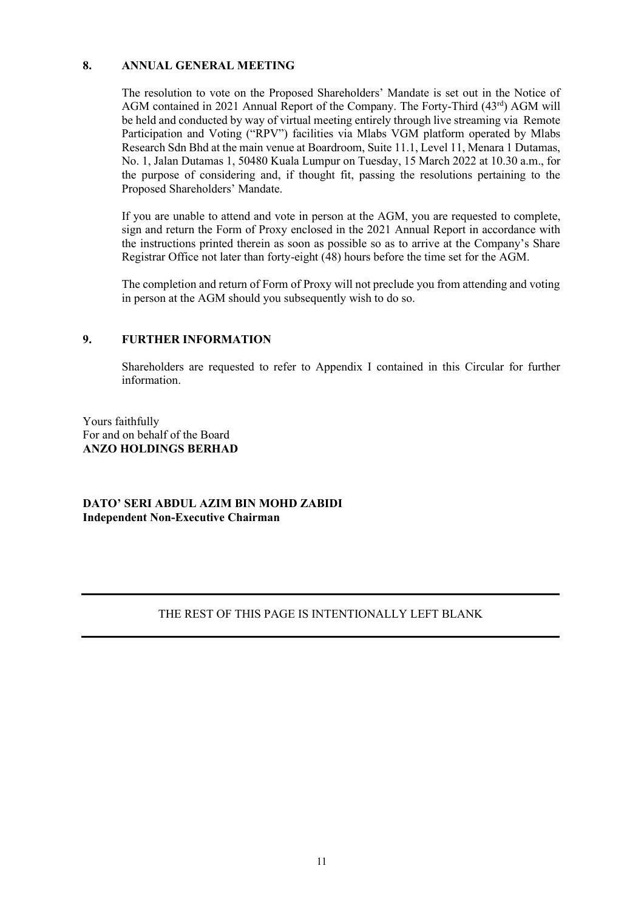### **8. ANNUAL GENERAL MEETING**

The resolution to vote on the Proposed Shareholders' Mandate is set out in the Notice of AGM contained in 2021 Annual Report of the Company. The Forty-Third (43rd) AGM will be held and conducted by way of virtual meeting entirely through live streaming via Remote Participation and Voting ("RPV") facilities via Mlabs VGM platform operated by Mlabs Research Sdn Bhd at the main venue at Boardroom, Suite 11.1, Level 11, Menara 1 Dutamas, No. 1, Jalan Dutamas 1, 50480 Kuala Lumpur on Tuesday, 15 March 2022 at 10.30 a.m., for the purpose of considering and, if thought fit, passing the resolutions pertaining to the Proposed Shareholders' Mandate.

If you are unable to attend and vote in person at the AGM, you are requested to complete, sign and return the Form of Proxy enclosed in the 2021 Annual Report in accordance with the instructions printed therein as soon as possible so as to arrive at the Company's Share Registrar Office not later than forty-eight (48) hours before the time set for the AGM.

The completion and return of Form of Proxy will not preclude you from attending and voting in person at the AGM should you subsequently wish to do so.

### **9. FURTHER INFORMATION**

Shareholders are requested to refer to Appendix I contained in this Circular for further information.

Yours faithfully For and on behalf of the Board **ANZO HOLDINGS BERHAD**

**DATO' SERI ABDUL AZIM BIN MOHD ZABIDI Independent Non-Executive Chairman**

### THE REST OF THIS PAGE IS INTENTIONALLY LEFT BLANK